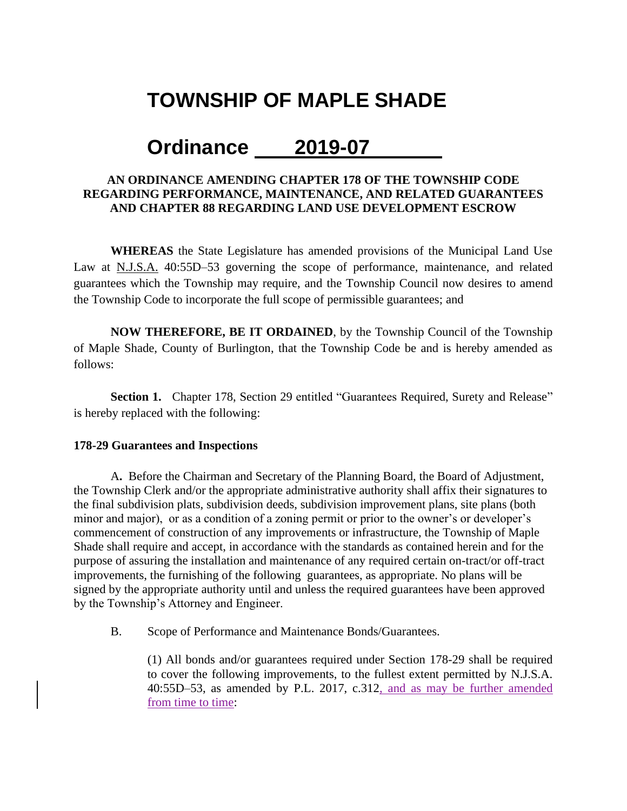# **TOWNSHIP OF MAPLE SHADE**

# **Ordinance 2019-07**

### **AN ORDINANCE AMENDING CHAPTER 178 OF THE TOWNSHIP CODE REGARDING PERFORMANCE, MAINTENANCE, AND RELATED GUARANTEES AND CHAPTER 88 REGARDING LAND USE DEVELOPMENT ESCROW**

**WHEREAS** the State Legislature has amended provisions of the Municipal Land Use Law at N.J.S.A. 40:55D–53 governing the scope of performance, maintenance, and related guarantees which the Township may require, and the Township Council now desires to amend the Township Code to incorporate the full scope of permissible guarantees; and

**NOW THEREFORE, BE IT ORDAINED**, by the Township Council of the Township of Maple Shade, County of Burlington, that the Township Code be and is hereby amended as follows:

**Section 1.** Chapter 178, Section 29 entitled "Guarantees Required, Surety and Release" is hereby replaced with the following:

#### **178-29 Guarantees and Inspections**

A**.** Before the Chairman and Secretary of the Planning Board, the Board of Adjustment, the Township Clerk and/or the appropriate administrative authority shall affix their signatures to the final subdivision plats, subdivision deeds, subdivision improvement plans, site plans (both minor and major), or as a condition of a zoning permit or prior to the owner's or developer's commencement of construction of any improvements or infrastructure, the Township of Maple Shade shall require and accept, in accordance with the standards as contained herein and for the purpose of assuring the installation and maintenance of any required certain on-tract/or off-tract improvements, the furnishing of the following guarantees, as appropriate. No plans will be signed by the appropriate authority until and unless the required guarantees have been approved by the Township's Attorney and Engineer.

B. Scope of Performance and Maintenance Bonds/Guarantees.

(1) All bonds and/or guarantees required under Section 178-29 shall be required to cover the following improvements, to the fullest extent permitted by N.J.S.A. 40:55D–53, as amended by P.L. 2017, c.312, and as may be further amended from time to time: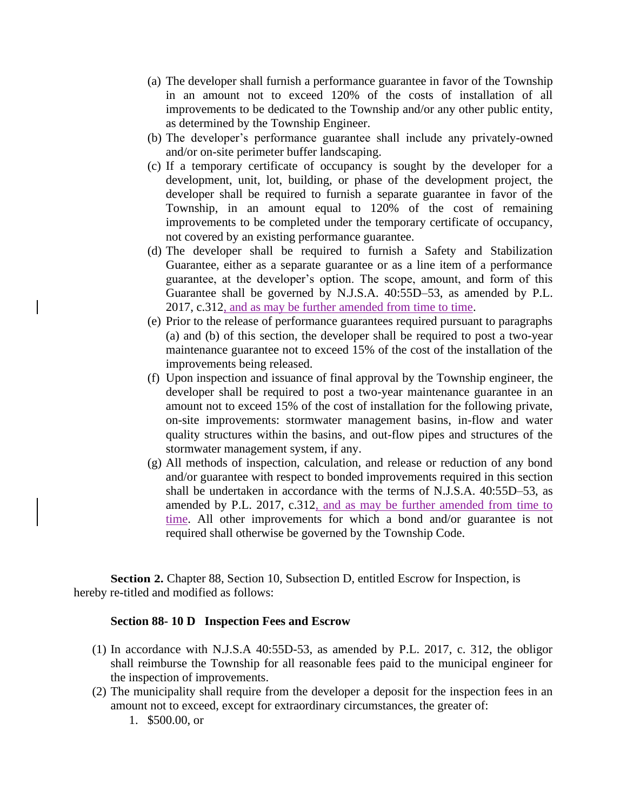- (a) The developer shall furnish a performance guarantee in favor of the Township in an amount not to exceed 120% of the costs of installation of all improvements to be dedicated to the Township and/or any other public entity, as determined by the Township Engineer.
- (b) The developer's performance guarantee shall include any privately-owned and/or on-site perimeter buffer landscaping.
- (c) If a temporary certificate of occupancy is sought by the developer for a development, unit, lot, building, or phase of the development project, the developer shall be required to furnish a separate guarantee in favor of the Township, in an amount equal to 120% of the cost of remaining improvements to be completed under the temporary certificate of occupancy, not covered by an existing performance guarantee.
- (d) The developer shall be required to furnish a Safety and Stabilization Guarantee, either as a separate guarantee or as a line item of a performance guarantee, at the developer's option. The scope, amount, and form of this Guarantee shall be governed by N.J.S.A. 40:55D–53, as amended by P.L. 2017, c.312, and as may be further amended from time to time.
- (e) Prior to the release of performance guarantees required pursuant to paragraphs (a) and (b) of this section, the developer shall be required to post a two-year maintenance guarantee not to exceed 15% of the cost of the installation of the improvements being released.
- (f) Upon inspection and issuance of final approval by the Township engineer, the developer shall be required to post a two-year maintenance guarantee in an amount not to exceed 15% of the cost of installation for the following private, on-site improvements: stormwater management basins, in-flow and water quality structures within the basins, and out-flow pipes and structures of the stormwater management system, if any.
- (g) All methods of inspection, calculation, and release or reduction of any bond and/or guarantee with respect to bonded improvements required in this section shall be undertaken in accordance with the terms of N.J.S.A. 40:55D–53, as amended by P.L. 2017, c.312, and as may be further amended from time to time. All other improvements for which a bond and/or guarantee is not required shall otherwise be governed by the Township Code.

**Section 2.** Chapter 88, Section 10, Subsection D, entitled Escrow for Inspection, is hereby re-titled and modified as follows:

#### **Section 88- 10 D Inspection Fees and Escrow**

- (1) In accordance with N.J.S.A 40:55D-53, as amended by P.L. 2017, c. 312, the obligor shall reimburse the Township for all reasonable fees paid to the municipal engineer for the inspection of improvements.
- (2) The municipality shall require from the developer a deposit for the inspection fees in an amount not to exceed, except for extraordinary circumstances, the greater of:
	- 1. \$500.00, or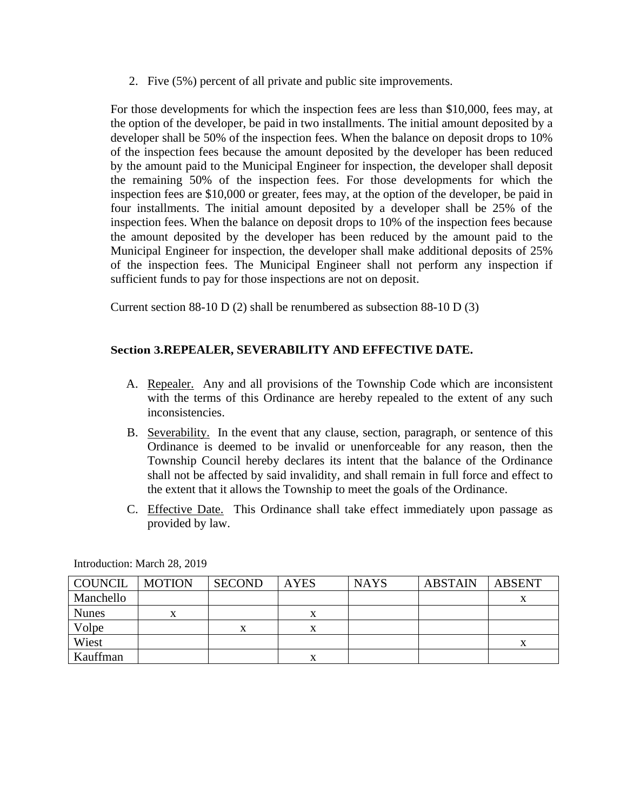2. Five (5%) percent of all private and public site improvements.

For those developments for which the inspection fees are less than \$10,000, fees may, at the option of the developer, be paid in two installments. The initial amount deposited by a developer shall be 50% of the inspection fees. When the balance on deposit drops to 10% of the inspection fees because the amount deposited by the developer has been reduced by the amount paid to the Municipal Engineer for inspection, the developer shall deposit the remaining 50% of the inspection fees. For those developments for which the inspection fees are \$10,000 or greater, fees may, at the option of the developer, be paid in four installments. The initial amount deposited by a developer shall be 25% of the inspection fees. When the balance on deposit drops to 10% of the inspection fees because the amount deposited by the developer has been reduced by the amount paid to the Municipal Engineer for inspection, the developer shall make additional deposits of 25% of the inspection fees. The Municipal Engineer shall not perform any inspection if sufficient funds to pay for those inspections are not on deposit.

Current section 88-10 D (2) shall be renumbered as subsection 88-10 D (3)

### **Section 3.REPEALER, SEVERABILITY AND EFFECTIVE DATE.**

- A. Repealer. Any and all provisions of the Township Code which are inconsistent with the terms of this Ordinance are hereby repealed to the extent of any such inconsistencies.
- B. Severability. In the event that any clause, section, paragraph, or sentence of this Ordinance is deemed to be invalid or unenforceable for any reason, then the Township Council hereby declares its intent that the balance of the Ordinance shall not be affected by said invalidity, and shall remain in full force and effect to the extent that it allows the Township to meet the goals of the Ordinance.
- C. Effective Date. This Ordinance shall take effect immediately upon passage as provided by law.

| COUNCIL      | <b>MOTION</b> | <b>SECOND</b> | <b>AYES</b> | <b>NAYS</b> | <b>ABSTAIN</b> | ABSENT |
|--------------|---------------|---------------|-------------|-------------|----------------|--------|
| Manchello    |               |               |             |             |                | v      |
| <b>Nunes</b> | X             |               |             |             |                |        |
| Volpe        |               |               |             |             |                |        |
| Wiest        |               |               |             |             |                |        |
| Kauffman     |               |               |             |             |                |        |

Introduction: March 28, 2019